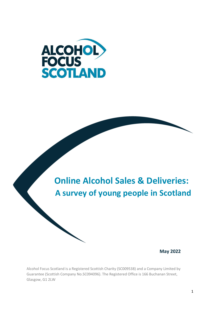



### **May 2022**

Alcohol Focus Scotland is a Registered Scottish Charity (SC009538) and a Company Limited by Guarantee (Scottish Company No.SC094096). The Registered Office is 166 Buchanan Street, Glasgow, G1 2LW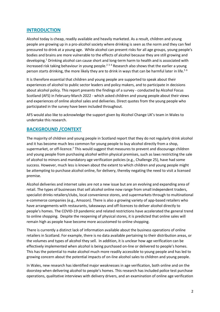### **INTRODUCTION**

Alcohol today is cheap, readily available and heavily marketed. As a result, children and young people are growing up in a pro-alcohol society where drinking is seen as the norm and they can feel pressured to drink at a young age. While alcohol can present risks for all age groups, young people's bodies and brains are more vulnerable to the effects of alcohol because they are still growing and developing.<sup>1</sup> Drinking alcohol can cause short and long-term harm to health and is associated with increased risk taking behaviour in young people.<sup>2 3 4</sup> Research also shows that the earlier a young person starts drinking, the more likely they are to drink in ways that can be harmful later in life.<sup>56</sup>

It is therefore essential that children and young people are supported to speak about their experiences of alcohol to public sector leaders and policy makers, and to participate in decisions about alcohol policy. This report presents the findings of a survey - conducted by Alcohol Focus Scotland (AFS) in February-March 2022 - which asked children and young people about their views and experiences of online alcohol sales and deliveries. Direct quotes from the young people who participated in the survey have been included throughout.

AFS would also like to acknowledge the support given by Alcohol Change UK's team in Wales to undertake this research.

### **BACKGROUND /CONTEXT**

The majority of children and young people in Scotland report that they do not regularly drink alcohol and it has become much less common for young people to buy alcohol directly from a shop, supermarket, or off-licence.<sup>7</sup> This would suggest that measures to prevent and discourage children and young people from purchasing alcohol within physical premises, such as laws restricting the sale of alcohol to minors and mandatory age verification policies (e.g., Challenge 25), have had some success. However, much less is known about the extent to which children and young people might be attempting to purchase alcohol online, for delivery, thereby negating the need to visit a licensed premise.

Alcohol deliveries and internet sales are not a new issue but are an evolving and expanding area of retail. The types of businesses that sell alcohol online now range from small independent traders, specialist drinks retailers/clubs, local convenience stores, and supermarkets through to multinational e-commerce companies (e.g., Amazon). There is also a growing variety of app-based retailers who have arrangements with restaurants, takeaways and off-licences to deliver alcohol directly to people's homes. The COVID-19 pandemic and related restrictions have accelerated the general trend to online shopping. Despite the reopening of physical stores, it is predicted that online sales will remain high as people have become more accustomed to online shopping.

There is currently a distinct lack of information available about the business operations of online retailers in Scotland. For example, there is no data available pertaining to their distribution areas, or the volumes and types of alcohol they sell. In addition, it is unclear how age verification can be effectively implemented when alcohol is being purchased on-line or delivered to people's homes. This has the potential to make alcohol much more readily accessible to young people and has led to growing concern about the potential impacts of on-line alcohol sales to children and young people.

In Wales, new research has identified major weaknesses in age verification, both online and on the doorstep when delivering alcohol to people's homes. This research has included police test purchase operations, qualitative interviews with delivery drivers, and an examination of online age verification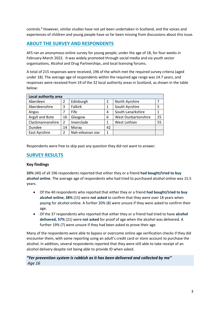controls. <sup>8</sup> However, similar studies have not yet been undertaken in Scotland, and the voices and experiences of children and young people have so far been missing from discussions about this issue.

## **ABOUT THE SURVEY AND RESPONDENTS**

AFS ran an anonymous online survey for young people, under the age of 18, for four weeks in February-March 2022. It was widely promoted through social media and via youth sector organisations, Alcohol and Drug Partnerships, and local licensing forums.

A total of 215 responses were received, 196 of the which met the required survey criteria (aged under 18). The average age of respondents within the required age range was 14.7 years, and responses were received from 19 of the 32 local authority areas in Scotland, as shown in the table below:

| Local authority area |                |                   |    |                            |    |
|----------------------|----------------|-------------------|----|----------------------------|----|
| Aberdeen             | 2              | Edinburgh         | 2  | North Ayrshire             |    |
| Aberdeenshire        | 3              | <b>Falkirk</b>    |    | South Ayrshire             | 5  |
| Angus                | 7              | Fife              | 4  | South Lanarkshire          | 1  |
| Argyll and Bute      | 16             | Glasgow           | 6  | <b>West Dunbartonshire</b> | 25 |
| Clackmannanshire     | $\overline{2}$ | Inverclyde        | 1  | West Lothian               | 55 |
| Dundee               | 14             | Moray             | 42 |                            |    |
| East Ayrshire        | $\overline{2}$ | Nah-eileanan siar | 1  |                            |    |

Respondents were free to skip past any question they did not want to answer.

### **SURVEY RESULTS**

#### **Key findings**

**20%** (40) of all 196 respondents reported that either they or a friend **had bought/tried to buy alcohol online**. The average age of respondents who had tried to purchased alcohol online was 15.5 years.

- Of the 40 respondents who reported that either they or a friend **had bought/tried to buy alcohol online**, **38%** (15) were **not asked** to confirm that they were over 18 years when paying for alcohol online. A further 20% (8) were unsure if they were asked to confirm their age.
- Of the 37 respondents who reported that either they or a friend had tried to have **alcohol delivered, 57%** (21) were **not asked** for proof of age when the alcohol was delivered. A further 19% (7) were unsure if they had been asked to prove their age.

Many of the respondents were able to bypass or overcome online age verification checks if they did encounter them, with some reporting using an adult's credit card or store account to purchase the alcohol. In addition, several respondents reported that they were still able to take receipt of an alcohol delivery despite not being able to provide ID when asked.

#### *"Yer prevention system is rubbish as it has been delivered and collected by me" Age 16*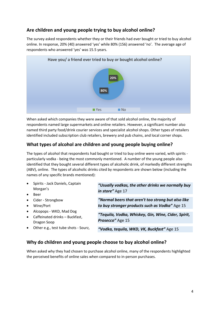# **Are children and young people trying to buy alcohol online?**

The survey asked respondents whether they or their friends had ever bought or tried to buy alcohol online. In response, 20% (40) answered 'yes' while 80% (156) answered 'no'. The average age of respondents who answered 'yes' was 15.5 years.



When asked which companies they were aware of that sold alcohol online, the majority of respondents named large supermarkets and online retailers. However, a significant number also named third party food/drink courier services and specialist alcohol shops. Other types of retailers identified included subscription club retailers, brewery and pub chains, and local corner shops.

# **What types of alcohol are children and young people buying online?**

The types of alcohol that respondents had bought or tried to buy online were varied, with spirits particularly vodka - being the most commonly mentioned. A number of the young people also identified that they bought several different types of alcoholic drink, of markedly different strengths (ABV), online. The types of alcoholic drinks cited by respondents are shown below (including the names of any specific brands mentioned):

• Spirits - Jack Daniels, Captain Morgan's

**Beer** 

- Cider Strongbow
- Wine/Port
- Alcopops WKD, Mad Dog
- Caffeinated drinks Buckfast, Dragon Soop
	-
- Other e.g., test tube shots Sourz,

*"Usually vodkas, the other drinks we normally buy in store"* Age 17

*"Normal beers that aren't too strong but also like to buy stronger products such as Vodka"* Age 15

*"Tequila, Vodka, Whiskey, Gin, Wine, Cider, Spirit, Prosecco"* Age 15

*"Vodka, tequila, WKD, VK, Buckfast"* Age 15

## **Why do children and young people choose to buy alcohol online?**

When asked why they had chosen to purchase alcohol online, many of the respondents highlighted the perceived benefits of online sales when compared to in-person purchases.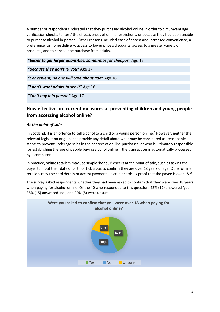A number of respondents indicated that they purchased alcohol online in order to circumvent age verification checks, to 'test' the effectiveness of online restrictions, or because they had been unable to purchase alcohol in-person. Other reasons included ease of access and increased convenience, a preference for home delivery, access to lower prices/discounts, access to a greater variety of products, and to conceal the purchase from adults.

| "Easier to get larger quantities, sometimes for cheaper" Age 17 |
|-----------------------------------------------------------------|
| "Because they don't ID you" Age 17                              |
| "Convenient, no one will care about age" Age 16                 |
| "I don't want adults to see it" Age 16                          |
| "Can't buy it in person" Age 17                                 |
|                                                                 |

# **How effective are current measures at preventing children and young people from accessing alcohol online?**

### *At the point of sale*

In Scotland, it is an offence to sell alcohol to a child or a young person online.<sup>9</sup> However, neither the relevant legislation or guidance provide any detail about what may be considered as 'reasonable steps' to prevent underage sales in the context of on-line purchases, or who is ultimately responsible for establishing the age of people buying alcohol online if the transaction is automatically processed by a computer.

In practice, online retailers may use simple 'honour' checks at the point of sale, such as asking the buyer to input their date of birth or tick a box to confirm they are over 18 years of age. Other online retailers may use card details or accept payment via credit cards as proof that the payee is over 18.<sup>10</sup>

The survey asked respondents whether they had been asked to confirm that they were over 18 years when paying for alcohol online. Of the 40 who responded to this question, 42% (17) answered 'yes', 38% (15) answered 'no', and 20% (8) were unsure.

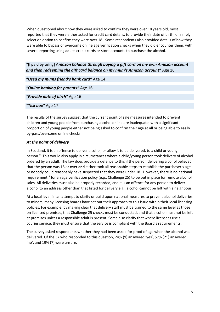When questioned about how they were asked to confirm they were over 18 years old, most reported that they were either asked for credit card details, to provide their date of birth, or simply select on option to confirm they were over 18. Some respondents also provided details of how they were able to bypass or overcome online age verification checks when they did encounter them, with several reporting using adults credit cards or store accounts to purchase the alcohol.

*"***[I paid by using]** *Amazon balance through buying a gift card on my own Amazon account and then redeeming the gift card balance on my mum's Amazon account"* Age 16

*"Used my mums friend's bank card"* Age 14 *"Online banking for parents"* Age 16 *"Provide date of birth"* Age 16 *"Tick box"* Age 17

The results of the survey suggest that the current point of sale measures intended to prevent children and young people from purchasing alcohol online are inadequate, with a significant proportion of young people either not being asked to confirm their age at all or being able to easily by-pass/overcome online checks.

#### *At the point of delivery*

In Scotland, it is an offence to deliver alcohol, or allow it to be delivered, to a child or young person.<sup>11</sup> This would also apply in circumstances where a child/young person took delivery of alcohol ordered by an adult. The law does provide a defence to this if the person delivering alcohol believed that the person was 18 or over **and** either took all reasonable steps to establish the purchaser's age or nobody could reasonably have suspected that they were under 18. However, there is no national requirement<sup>12</sup> for an age verification policy (e.g., Challenge 25) to be put in place for remote alcohol sales. All deliveries must also be properly recorded, and it is an offence for any person to deliver alcohol to an address other than that listed for delivery e.g., alcohol cannot be left with a neighbour.

At a local level, in an attempt to clarify or build upon national measures to prevent alcohol deliveries to minors, many licensing boards have set out their approach to this issue within their local licensing policies. For example, by making clear that delivery staff must be trained to the same level as those on licensed premises, that Challenge 25 checks must be conducted, and that alcohol must not be left at premises unless a responsible adult is present. Some also clarify that where licensees use a courier service, they must ensure that the service is compliant with the Board's requirements.

The survey asked respondents whether they had been asked for proof of age when the alcohol was delivered. Of the 37 who responded to this question, 24% (9) answered 'yes', 57% (21) answered 'no', and 19% (7) were unsure.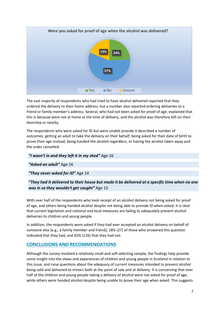

The vast majority of respondents who had tried to have alcohol delivered reported that they ordered the delivery to their home address, but a number also reported ordering deliveries to a friend or family member's address. Several, who had not been asked for proof of age, explained that this is because were not at home at the time of delivery, and the alcohol was therefore left on their doorstep or nearby.

The respondents who were asked for ID but were unable provide it described a number of outcomes: getting an adult to take the delivery on their behalf; being asked for their date of birth to prove their age instead; being handed the alcohol regardless; or having the alcohol taken away and the order cancelled.

#### *"I wasn't in and they left it in my shed"* Age 16

*"Asked an adult"* Age 16

*"They never asked for ID"* Age 14

### *"They had it delivered to their house but made it be delivered at a specific time when no one was in so they wouldn't get caught"* Age 15

With over half of the respondents who took receipt of an alcohol delivery not being asked for proof of age, and others being handed alcohol despite not being able to provide ID when asked, it is clear that current legislation and national and local measures are failing to adequately prevent alcohol deliveries to children and young people.

In addition, the respondents were asked if they had ever accepted an alcohol delivery on behalf of someone else (e.g., a family member and friend); 18% (27) of those who answered this question indicated that they had, and 82% (126) that they had not.

### **CONCLUSIONS AND RECOMMENDATIONS**

Although the survey involved a relatively small and self-selecting sample, the findings help provide some insight into the views and experiences of children and young people in Scotland in relation to this issue, and raise questions about the adequacy of current measures intended to prevent alcohol being sold and delivered to minors both at the point of sale and at delivery. It is concerning that over half of the children and young people taking a delivery of alcohol were not asked for proof of age, while others were handed alcohol despite being unable to prove their age when asked. This suggests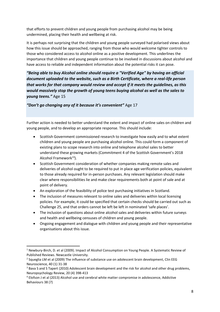that efforts to prevent children and young people from purchasing alcohol may be being undermined, placing their health and wellbeing at risk.

It is perhaps not surprising that the children and young people surveyed had polarised views about how this issue should be approached, ranging from those who would welcome tighter controls to those who considered access to alcohol online as a positive development. This underlines the importance that children and young people continue to be involved in discussions about alcohol and have access to reliable and independent information about the potential risks it can pose.

*"Being able to buy Alcohol online should require a "Verified Age" by having an official document uploaded to the website, such as a Birth Certificate, where a real-life person that works for that company would review and accept if it meets the guidelines, as this would massively stop the growth of young teens buying alcohol as well as the sales to young teens."* Age 15

*"Don't go changing any of it because it's convenient"* Age 17

Further action is needed to better understand the extent and impact of online sales on children and young people, and to develop an appropriate response. This should include:

- Scottish Government commissioned research to investigate how easily and to what extent children and young people are purchasing alcohol online. This could form a component of existing plans to scope research into online and telephone alcohol sales to better understand these growing markets (Commitment 4 of the Scottish Government's 2018 Alcohol Framework $^{13}$ ).
- Scottish Government consideration of whether companies making remote sales and deliveries of alcohol ought to be required to put in place age verification policies, equivalent to those already required for in-person purchases. Any relevant legislation should make clear where responsibilities lie and make clear requirements both at point of sale and at point of delivery.
- An exploration of the feasibility of police test purchasing initiatives in Scotland.
- The inclusion of measures relevant to online sales and deliveries within local licensing policies. For example, it could be specified that certain checks should be carried out such as Challenge 25, and that orders cannot be left be left in nominated 'safe places'.
- The inclusion of questions about online alcohol sales and deliveries within future surveys and health and wellbeing censuses of children and young people.
- Ongoing engagement and dialogue with children and young people and their representative organisations about this issue.

 $1$  Newbury-Birch, D. et al (2009). Impact of Alcohol Consumption on Young People. A Systematic Review of Published Reviews. Newcastle University.

 $2$  Squeglia LM et al (2009) The influence of substance use on adolescent brain development, Clin EEG Neuroscience, 40 (1) 31-38

<sup>&</sup>lt;sup>3</sup> Bava S and S Tapert (2010) Adolescent brain development and the risk for alcohol and other drug problems, Neuropsychology Review, 20 (4) 398-413

<sup>4</sup> Elofson J et al (2013) Alcohol use and cerebral white matter compromise in adolescence, Addictive Behaviours 38 (7)